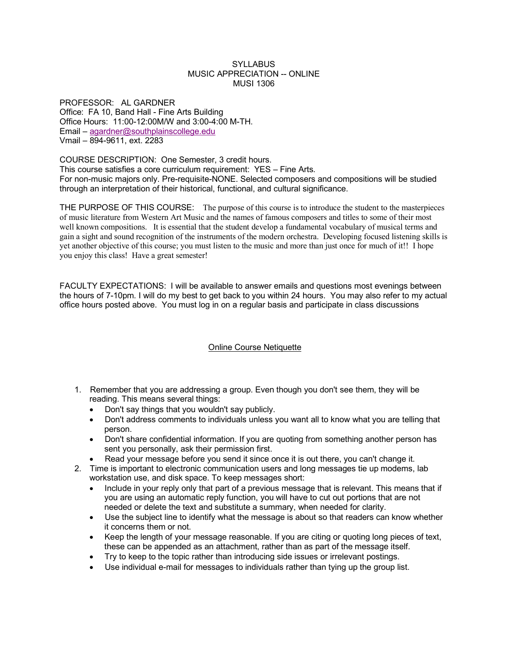#### SYLLABUS MUSIC APPRECIATION -- ONLINE MUSI 1306

PROFESSOR: AL GARDNER Office: FA 10, Band Hall - Fine Arts Building Office Hours: 11:00-12:00M/W and 3:00-4:00 M-TH. Email – agardner@southplainscollege.edu Vmail – 894-9611, ext. 2283

COURSE DESCRIPTION: One Semester, 3 credit hours. This course satisfies a core curriculum requirement: YES – Fine Arts. For non-music majors only. Pre-requisite-NONE. Selected composers and compositions will be studied through an interpretation of their historical, functional, and cultural significance.

THE PURPOSE OF THIS COURSE: The purpose of this course is to introduce the student to the masterpieces of music literature from Western Art Music and the names of famous composers and titles to some of their most well known compositions. It is essential that the student develop a fundamental vocabulary of musical terms and gain a sight and sound recognition of the instruments of the modern orchestra. Developing focused listening skills is yet another objective of this course; you must listen to the music and more than just once for much of it!! I hope you enjoy this class! Have a great semester!

FACULTY EXPECTATIONS: I will be available to answer emails and questions most evenings between the hours of 7-10pm. I will do my best to get back to you within 24 hours. You may also refer to my actual office hours posted above. You must log in on a regular basis and participate in class discussions

#### Online Course Netiquette

- 1. Remember that you are addressing a group. Even though you don't see them, they will be reading. This means several things:
	- Don't say things that you wouldn't say publicly.
	- Don't address comments to individuals unless you want all to know what you are telling that person.
	- Don't share confidential information. If you are quoting from something another person has sent you personally, ask their permission first.
	- Read your message before you send it since once it is out there, you can't change it.
- 2. Time is important to electronic communication users and long messages tie up modems, lab workstation use, and disk space. To keep messages short:
	- Include in your reply only that part of a previous message that is relevant. This means that if you are using an automatic reply function, you will have to cut out portions that are not needed or delete the text and substitute a summary, when needed for clarity.
	- Use the subject line to identify what the message is about so that readers can know whether it concerns them or not.
	- Keep the length of your message reasonable. If you are citing or quoting long pieces of text, these can be appended as an attachment, rather than as part of the message itself.
	- Try to keep to the topic rather than introducing side issues or irrelevant postings.
	- Use individual e-mail for messages to individuals rather than tying up the group list.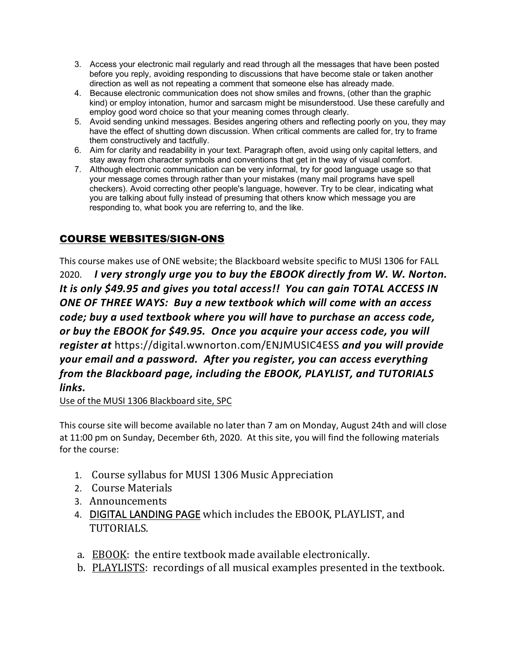- 3. Access your electronic mail regularly and read through all the messages that have been posted before you reply, avoiding responding to discussions that have become stale or taken another direction as well as not repeating a comment that someone else has already made.
- 4. Because electronic communication does not show smiles and frowns, (other than the graphic kind) or employ intonation, humor and sarcasm might be misunderstood. Use these carefully and employ good word choice so that your meaning comes through clearly.
- 5. Avoid sending unkind messages. Besides angering others and reflecting poorly on you, they may have the effect of shutting down discussion. When critical comments are called for, try to frame them constructively and tactfully.
- 6. Aim for clarity and readability in your text. Paragraph often, avoid using only capital letters, and stay away from character symbols and conventions that get in the way of visual comfort.
- 7. Although electronic communication can be very informal, try for good language usage so that your message comes through rather than your mistakes (many mail programs have spell checkers). Avoid correcting other people's language, however. Try to be clear, indicating what you are talking about fully instead of presuming that others know which message you are responding to, what book you are referring to, and the like.

## COURSE WEBSITES/SIGN-ONS

This course makes use of ONE website; the Blackboard website specific to MUSI 1306 for FALL 2020. *I very strongly urge you to buy the EBOOK directly from W. W. Norton. It is only \$49.95 and gives you total access!! You can gain TOTAL ACCESS IN ONE OF THREE WAYS: Buy a new textbook which will come with an access code; buy a used textbook where you will have to purchase an access code, or buy the EBOOK for \$49.95. Once you acquire your access code, you will register at* https://digital.wwnorton.com/ENJMUSIC4ESS *and you will provide your email and a password. After you register, you can access everything from the Blackboard page, including the EBOOK, PLAYLIST, and TUTORIALS links.*

Use of the MUSI 1306 Blackboard site, SPC

This course site will become available no later than 7 am on Monday, August 24th and will close at 11:00 pm on Sunday, December 6th, 2020. At this site, you will find the following materials for the course:

- 1. Course syllabus for MUSI 1306 Music Appreciation
- 2. Course Materials
- 3. Announcements
- 4. DIGITAL LANDING PAGE which includes the EBOOK, PLAYLIST, and TUTORIALS.
- a. EBOOK: the entire textbook made available electronically.
- b. PLAYLISTS: recordings of all musical examples presented in the textbook.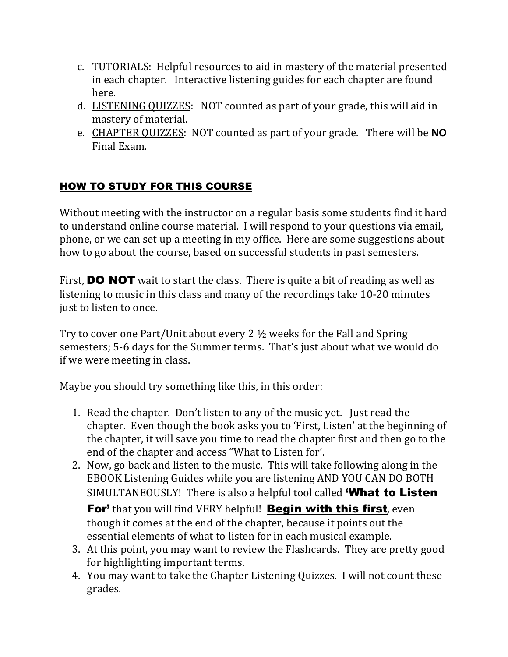- c. TUTORIALS: Helpful resources to aid in mastery of the material presented in each chapter. Interactive listening guides for each chapter are found here.
- d. LISTENING QUIZZES: NOT counted as part of your grade, this will aid in mastery of material.
- e. CHAPTER QUIZZES: NOT counted as part of your grade. There will be **NO** Final Exam.

# HOW TO STUDY FOR THIS COURSE

Without meeting with the instructor on a regular basis some students find it hard to understand online course material. I will respond to your questions via email, phone, or we can set up a meeting in my office. Here are some suggestions about how to go about the course, based on successful students in past semesters.

First, **DO NOT** wait to start the class. There is quite a bit of reading as well as listening to music in this class and many of the recordings take 10-20 minutes just to listen to once.

Try to cover one Part/Unit about every 2  $\frac{1}{2}$  weeks for the Fall and Spring semesters; 5-6 days for the Summer terms. That's just about what we would do if we were meeting in class.

Maybe you should try something like this, in this order:

- 1. Read the chapter. Don't listen to any of the music yet. Just read the chapter. Even though the book asks you to 'First, Listen' at the beginning of the chapter, it will save you time to read the chapter first and then go to the end of the chapter and access "What to Listen for'.
- 2. Now, go back and listen to the music. This will take following along in the EBOOK Listening Guides while you are listening AND YOU CAN DO BOTH SIMULTANEOUSLY! There is also a helpful tool called **'What to Listen For'** that you will find VERY helpful! **Begin with this first**, even though it comes at the end of the chapter, because it points out the essential elements of what to listen for in each musical example.
- 3. At this point, you may want to review the Flashcards. They are pretty good for highlighting important terms.
- 4. You may want to take the Chapter Listening Quizzes. I will not count these grades.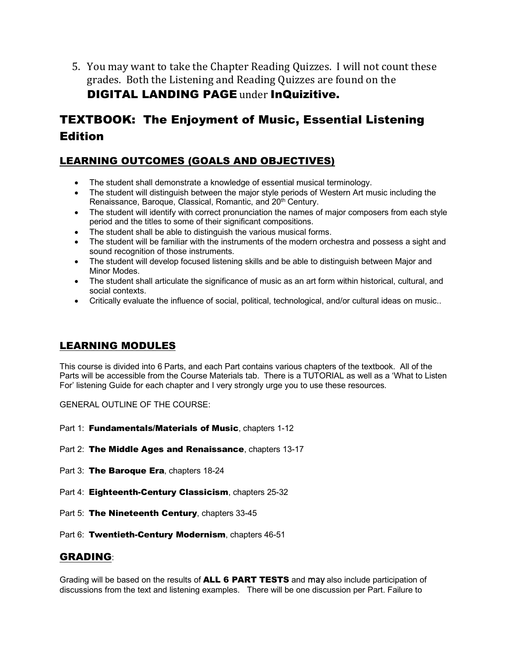5. You may want to take the Chapter Reading Quizzes. I will not count these grades. Both the Listening and Reading Quizzes are found on the **DIGITAL LANDING PAGE under InQuizitive.** 

# TEXTBOOK: The Enjoyment of Music, Essential Listening Edition

## LEARNING OUTCOMES (GOALS AND OBJECTIVES)

- The student shall demonstrate a knowledge of essential musical terminology.
- The student will distinguish between the major style periods of Western Art music including the Renaissance, Baroque, Classical, Romantic, and 20<sup>th</sup> Century.
- The student will identify with correct pronunciation the names of major composers from each style period and the titles to some of their significant compositions.
- The student shall be able to distinguish the various musical forms.
- The student will be familiar with the instruments of the modern orchestra and possess a sight and sound recognition of those instruments.
- The student will develop focused listening skills and be able to distinguish between Major and Minor Modes.
- The student shall articulate the significance of music as an art form within historical, cultural, and social contexts.
- Critically evaluate the influence of social, political, technological, and/or cultural ideas on music..

### LEARNING MODULES

This course is divided into 6 Parts, and each Part contains various chapters of the textbook. All of the Parts will be accessible from the Course Materials tab. There is a TUTORIAL as well as a 'What to Listen For' listening Guide for each chapter and I very strongly urge you to use these resources.

GENERAL OUTLINE OF THE COURSE:

- Part 1: Fundamentals/Materials of Music, chapters 1-12
- Part 2: The Middle Ages and Renaissance, chapters 13-17
- Part 3: The Baroque Era, chapters 18-24
- Part 4: Eighteenth-Century Classicism, chapters 25-32
- Part 5: The Nineteenth Century, chapters 33-45
- Part 6: Twentieth-Century Modernism, chapters 46-51

### GRADING:

Grading will be based on the results of ALL 6 PART TESTS and may also include participation of discussions from the text and listening examples. There will be one discussion per Part. Failure to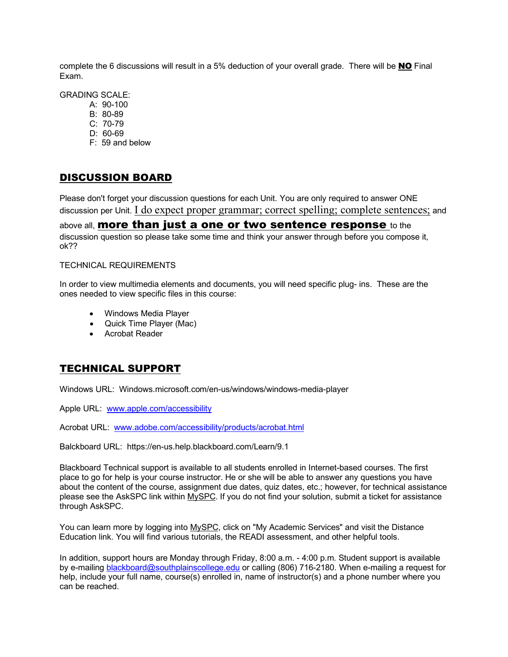complete the 6 discussions will result in a 5% deduction of your overall grade. There will be NO Final Exam.

GRADING SCALE:

- A: 90-100
- B: 80-89
- C: 70-79
- D: 60-69
- F: 59 and below

### DISCUSSION BOARD

Please don't forget your discussion questions for each Unit. You are only required to answer ONE discussion per Unit. **I do expect proper grammar; correct spelling; complete sentences;** and above all, **more than just a one or two sentence response** to the discussion question so please take some time and think your answer through before you compose it, ok??

#### TECHNICAL REQUIREMENTS

In order to view multimedia elements and documents, you will need specific plug- ins. These are the ones needed to view specific files in this course:

- Windows Media Player
- Quick Time Player (Mac)
- Acrobat Reader

### TECHNICAL SUPPORT

Windows URL: Windows.microsoft.com/en-us/windows/windows-media-player

Apple URL: www.apple.com/accessibility

Acrobat URL: www.adobe.com/accessibility/products/acrobat.html

Balckboard URL: https://en-us.help.blackboard.com/Learn/9.1

Blackboard Technical support is available to all students enrolled in Internet-based courses. The first place to go for help is your course instructor. He or she will be able to answer any questions you have about the content of the course, assignment due dates, quiz dates, etc.; however, for technical assistance please see the AskSPC link within MySPC. If you do not find your solution, submit a ticket for assistance through AskSPC.

You can learn more by logging into MySPC, click on "My Academic Services" and visit the Distance Education link. You will find various tutorials, the READI assessment, and other helpful tools.

In addition, support hours are Monday through Friday, 8:00 a.m. - 4:00 p.m. Student support is available by e-mailing blackboard@southplainscollege.edu or calling (806) 716-2180. When e-mailing a request for help, include your full name, course(s) enrolled in, name of instructor(s) and a phone number where you can be reached.